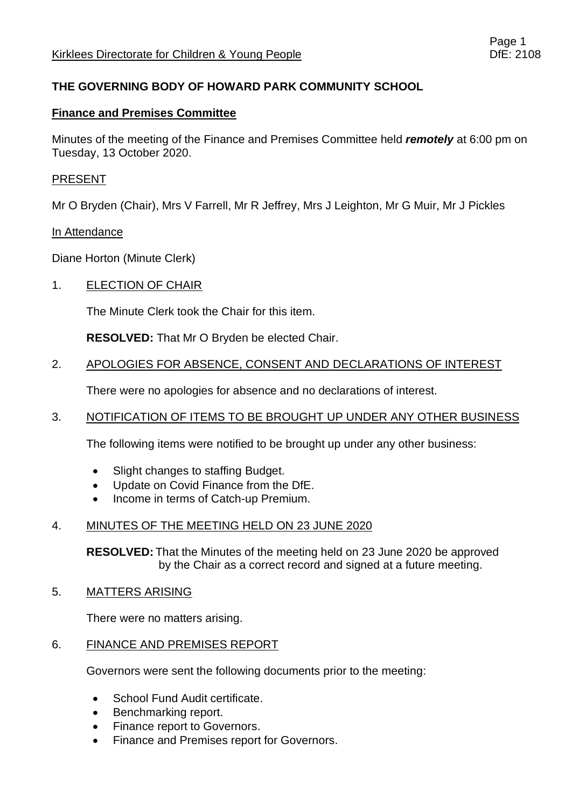## **THE GOVERNING BODY OF HOWARD PARK COMMUNITY SCHOOL**

#### **Finance and Premises Committee**

Minutes of the meeting of the Finance and Premises Committee held *remotely* at 6:00 pm on Tuesday, 13 October 2020.

#### PRESENT

Mr O Bryden (Chair), Mrs V Farrell, Mr R Jeffrey, Mrs J Leighton, Mr G Muir, Mr J Pickles

#### In Attendance

Diane Horton (Minute Clerk)

#### 1. ELECTION OF CHAIR

The Minute Clerk took the Chair for this item.

**RESOLVED:** That Mr O Bryden be elected Chair.

#### 2. APOLOGIES FOR ABSENCE, CONSENT AND DECLARATIONS OF INTEREST

There were no apologies for absence and no declarations of interest.

#### 3. NOTIFICATION OF ITEMS TO BE BROUGHT UP UNDER ANY OTHER BUSINESS

The following items were notified to be brought up under any other business:

- Slight changes to staffing Budget.
- Update on Covid Finance from the DfE.
- Income in terms of Catch-up Premium.

#### 4. MINUTES OF THE MEETING HELD ON 23 JUNE 2020

**RESOLVED:** That the Minutes of the meeting held on 23 June 2020 be approved by the Chair as a correct record and signed at a future meeting.

#### 5. MATTERS ARISING

There were no matters arising.

#### 6. FINANCE AND PREMISES REPORT

Governors were sent the following documents prior to the meeting:

- School Fund Audit certificate.
- Benchmarking report.
- Finance report to Governors.
- Finance and Premises report for Governors.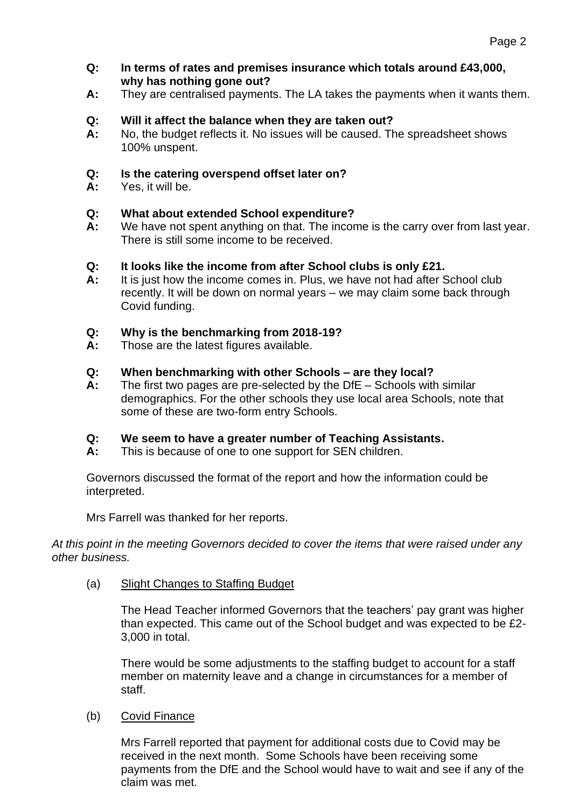- **Q: In terms of rates and premises insurance which totals around £43,000, why has nothing gone out?**
- **A:** They are centralised payments. The LA takes the payments when it wants them.

# **Q: Will it affect the balance when they are taken out?**

**A:** No, the budget reflects it. No issues will be caused. The spreadsheet shows 100% unspent.

# **Q: Is the catering overspend offset later on?**

**A:** Yes, it will be.

# **Q: What about extended School expenditure?**

**A:** We have not spent anything on that. The income is the carry over from last year. There is still some income to be received.

## **Q: It looks like the income from after School clubs is only £21.**

**A:** It is just how the income comes in. Plus, we have not had after School club recently. It will be down on normal years – we may claim some back through Covid funding.

# **Q: Why is the benchmarking from 2018-19?**

**A:** Those are the latest figures available.

# **Q: When benchmarking with other Schools – are they local?**

**A:** The first two pages are pre-selected by the DfE – Schools with similar demographics. For the other schools they use local area Schools, note that some of these are two-form entry Schools.

## **Q: We seem to have a greater number of Teaching Assistants.**

**A:** This is because of one to one support for SEN children.

Governors discussed the format of the report and how the information could be interpreted.

Mrs Farrell was thanked for her reports.

*At this point in the meeting Governors decided to cover the items that were raised under any other business.*

(a) Slight Changes to Staffing Budget

The Head Teacher informed Governors that the teachers' pay grant was higher than expected. This came out of the School budget and was expected to be £2- 3,000 in total.

There would be some adjustments to the staffing budget to account for a staff member on maternity leave and a change in circumstances for a member of staff.

## (b) Covid Finance

Mrs Farrell reported that payment for additional costs due to Covid may be received in the next month. Some Schools have been receiving some payments from the DfE and the School would have to wait and see if any of the claim was met.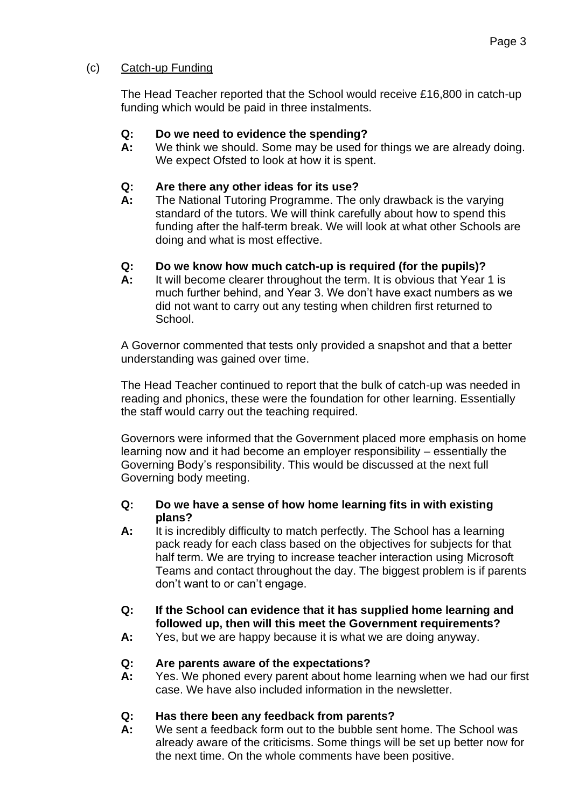## (c) Catch-up Funding

The Head Teacher reported that the School would receive £16,800 in catch-up funding which would be paid in three instalments.

## **Q: Do we need to evidence the spending?**

**A:** We think we should. Some may be used for things we are already doing. We expect Ofsted to look at how it is spent.

# **Q: Are there any other ideas for its use?**

**A:** The National Tutoring Programme. The only drawback is the varying standard of the tutors. We will think carefully about how to spend this funding after the half-term break. We will look at what other Schools are doing and what is most effective.

# **Q: Do we know how much catch-up is required (for the pupils)?**

**A:** It will become clearer throughout the term. It is obvious that Year 1 is much further behind, and Year 3. We don't have exact numbers as we did not want to carry out any testing when children first returned to School.

A Governor commented that tests only provided a snapshot and that a better understanding was gained over time.

The Head Teacher continued to report that the bulk of catch-up was needed in reading and phonics, these were the foundation for other learning. Essentially the staff would carry out the teaching required.

Governors were informed that the Government placed more emphasis on home learning now and it had become an employer responsibility – essentially the Governing Body's responsibility. This would be discussed at the next full Governing body meeting.

#### **Q: Do we have a sense of how home learning fits in with existing plans?**

**A:** It is incredibly difficulty to match perfectly. The School has a learning pack ready for each class based on the objectives for subjects for that half term. We are trying to increase teacher interaction using Microsoft Teams and contact throughout the day. The biggest problem is if parents don't want to or can't engage.

## **Q: If the School can evidence that it has supplied home learning and followed up, then will this meet the Government requirements?**

**A:** Yes, but we are happy because it is what we are doing anyway.

## **Q: Are parents aware of the expectations?**

**A:** Yes. We phoned every parent about home learning when we had our first case. We have also included information in the newsletter.

# **Q: Has there been any feedback from parents?**

**A:** We sent a feedback form out to the bubble sent home. The School was already aware of the criticisms. Some things will be set up better now for the next time. On the whole comments have been positive.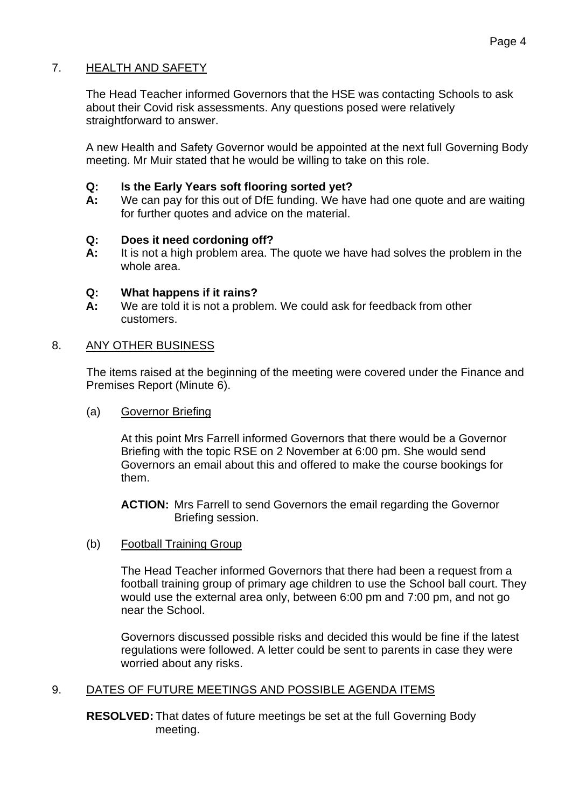## 7. HEALTH AND SAFETY

The Head Teacher informed Governors that the HSE was contacting Schools to ask about their Covid risk assessments. Any questions posed were relatively straightforward to answer.

A new Health and Safety Governor would be appointed at the next full Governing Body meeting. Mr Muir stated that he would be willing to take on this role.

#### **Q: Is the Early Years soft flooring sorted yet?**

**A:** We can pay for this out of DfE funding. We have had one quote and are waiting for further quotes and advice on the material.

#### **Q: Does it need cordoning off?**

**A:** It is not a high problem area. The quote we have had solves the problem in the whole area.

#### **Q: What happens if it rains?**

**A:** We are told it is not a problem. We could ask for feedback from other customers.

#### 8. ANY OTHER BUSINESS

The items raised at the beginning of the meeting were covered under the Finance and Premises Report (Minute 6).

(a) Governor Briefing

At this point Mrs Farrell informed Governors that there would be a Governor Briefing with the topic RSE on 2 November at 6:00 pm. She would send Governors an email about this and offered to make the course bookings for them.

**ACTION:** Mrs Farrell to send Governors the email regarding the Governor Briefing session.

(b) Football Training Group

The Head Teacher informed Governors that there had been a request from a football training group of primary age children to use the School ball court. They would use the external area only, between 6:00 pm and 7:00 pm, and not go near the School.

Governors discussed possible risks and decided this would be fine if the latest regulations were followed. A letter could be sent to parents in case they were worried about any risks.

## 9. DATES OF FUTURE MEETINGS AND POSSIBLE AGENDA ITEMS

**RESOLVED:** That dates of future meetings be set at the full Governing Body meeting.